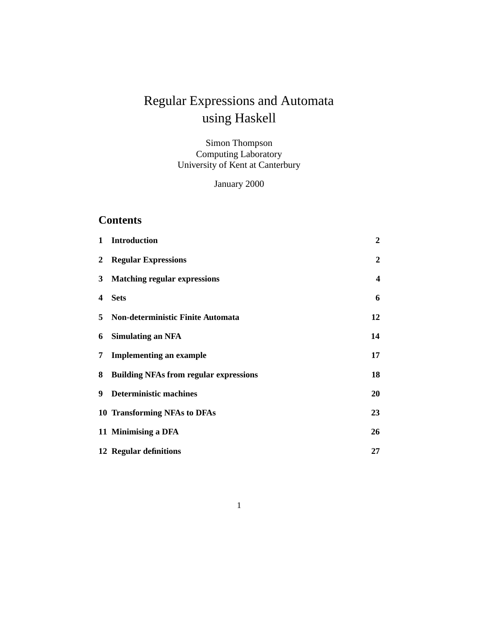# Regular Expressions and Automata using Haskell

Simon Thompson Computing Laboratory University of Kent at Canterbury

January 2000

# **Contents**

| $\mathbf{1}$            | <b>Introduction</b>                           | $\boldsymbol{2}$        |
|-------------------------|-----------------------------------------------|-------------------------|
| $\mathbf{2}$            | <b>Regular Expressions</b>                    | $\overline{2}$          |
|                         | 3 Matching regular expressions                | $\overline{\mathbf{4}}$ |
| $\overline{\mathbf{4}}$ | <b>Sets</b>                                   | 6                       |
|                         | 5 Non-deterministic Finite Automata           | 12                      |
| 6                       | <b>Simulating an NFA</b>                      | 14                      |
| 7                       | <b>Implementing an example</b>                | 17                      |
| 8                       | <b>Building NFAs from regular expressions</b> | 18                      |
| 9                       | <b>Deterministic machines</b>                 | 20                      |
|                         | 10 Transforming NFAs to DFAs                  | 23                      |
|                         | 11 Minimising a DFA                           | 26                      |
|                         | 12 Regular definitions                        | 27                      |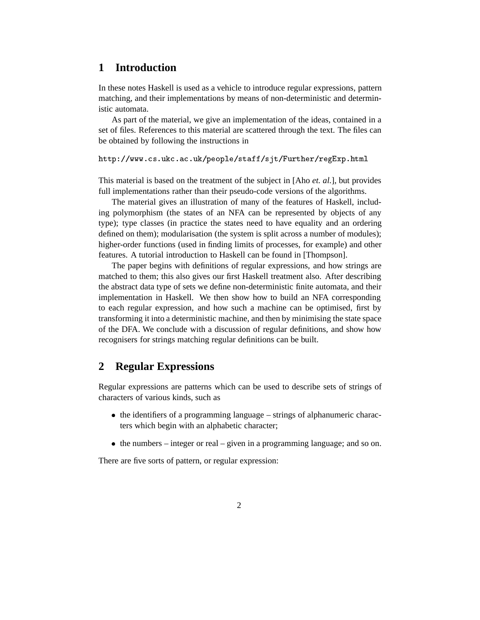### **1 Introduction**

In these notes Haskell is used as a vehicle to introduce regular expressions, pattern matching, and their implementations by means of non-deterministic and deterministic automata.

As part of the material, we give an implementation of the ideas, contained in a set of files. References to this material are scattered through the text. The files can be obtained by following the instructions in

 $\blacksquare$  . The state of the state of the state of the state of the state of the state of the state of the state of the state of the state of the state of the state of the state of the state of the state of the state of the

This material is based on the treatment of the subject in [Aho *et. al.*], but provides full implementations rather than their pseudo-code versions of the algorithms.

The material gives an illustration of many of the features of Haskell, including polymorphism (the states of an NFA can be represented by objects of any type); type classes (in practice the states need to have equality and an ordering defined on them); modularisation (the system is split across a number of modules); higher-order functions (used in finding limits of processes, for example) and other features. A tutorial introduction to Haskell can be found in [Thompson].

The paper begins with definitions of regular expressions, and how strings are matched to them; this also gives our first Haskell treatment also. After describing the abstract data type of sets we define non-deterministic finite automata, and their implementation in Haskell. We then show how to build an NFA corresponding to each regular expression, and how such a machine can be optimised, first by transforming it into a deterministic machine, and then by minimising the state space of the DFA. We conclude with a discussion of regular definitions, and show how recognisers for strings matching regular definitions can be built.

#### **2 Regular Expressions**

Regular expressions are patterns which can be used to describe sets of strings of characters of various kinds, such as

- the identifiers of a programming language strings of alphanumeric characters which begin with an alphabetic character;
- $\bullet$  the numbers integer or real given in a programming language; and so on.

There are five sorts of pattern, or regular expression: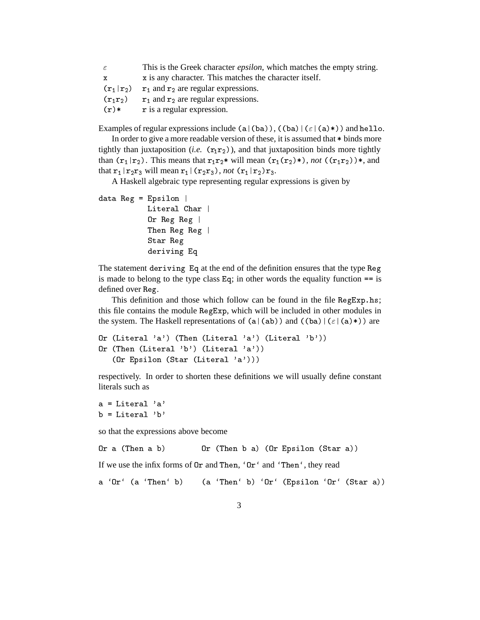| $\epsilon$   | This is the Greek character <i>epsilon</i> , which matches the empty string. |
|--------------|------------------------------------------------------------------------------|
| $\mathbf{x}$ | x is any character. This matches the character itself.                       |
| $(r_1 r_2)$  | $r_1$ and $r_2$ are regular expressions.                                     |
| $(r_1r_2)$   | $r_1$ and $r_2$ are regular expressions.                                     |
| $(r)*$       | r is a regular expression.                                                   |

Examples of regular expressions include (a|(ba)),  $((ba) | (\varepsilon | (a)*))$  and hello.

In order to give a more readable version of these, it is assumed that  $*$  binds more tightly than juxtaposition (*i.e.*  $(r_1 r_2)$ ), and that juxtaposition binds more tightly than  $(r_1 | r_2)$ . This means that  $r_1 r_2$  will mean  $(r_1(r_2)$ ), not  $((r_1 r_2))$ , and that  $\mathbf{r}_1 | \mathbf{r}_2 \mathbf{r}_3$  will mean  $\mathbf{r}_1 | (\mathbf{r}_2 \mathbf{r}_3)$ , *not*  $(\mathbf{r}_1 | \mathbf{r}_2) \mathbf{r}_3$ .

A Haskell algebraic type representing regular expressions is given by

  - Literal Char | Or Reg Reg | Then Reg Reg | Star Reg deriving Eq

The statement deriving Eq at the end of the definition ensures that the type Reg is made to belong to the type class  $Eq$ ; in other words the equality function  $==$  is defined over Reg.

This definition and those which follow can be found in the file RegExp.hs; this file contains the module RegExp, which will be included in other modules in the system. The Haskell representations of  $(a | (ab))$  and  $((ba) | (\varepsilon | (a)*))$  are

```
Or (Literal 'a') (Then (Literal 'a') (Literal 'b'))
Or (Then (Literal 'b') (Literal 'a'))
        \frac{1}{2} . The same \frac{1}{2} - \frac{1}{2} - \frac{1}{2} - \frac{1}{2} - \frac{1}{2} - \frac{1}{2} - \frac{1}{2} - \frac{1}{2} - \frac{1}{2} - \frac{1}{2} - \frac{1}{2} - \frac{1}{2} - \frac{1}{2} - \frac{1}{2} - \frac{1}{2} - \frac{1}{2} - \frac{1}{2}
```
respectively. In order to shorten these definitions we will usually define constant literals such as

```
a = Literal 'a'b = Literal 'b'
```
so that the expressions above become

```
\blacksquare . The set of the set of the set of the set of the set of the set of the set of the set of the set of the set of the set of the set of the set of the set of the set of the set of the set of the set of the set of the
```
If we use the infix forms of  $0r$  and Then, ' $0r'$  and 'Then', they read

 $\blacksquare$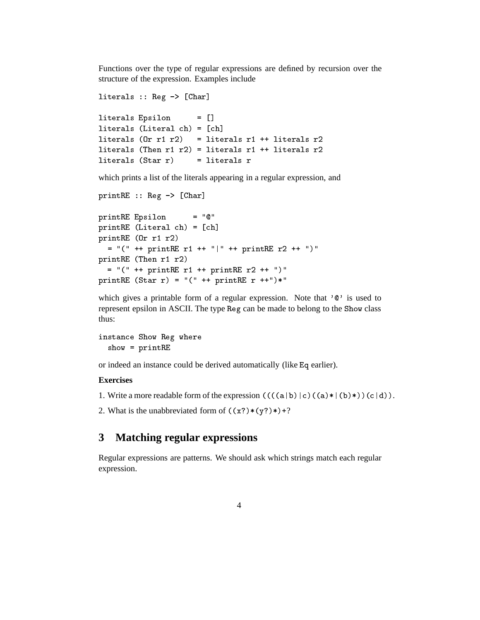Functions over the type of regular expressions are defined by recursion over the structure of the expression. Examples include

```
literals :: \text{Reg} \rightarrow [\text{Char}]= \Box————————————————————
literals (Literal ch) = [ch]literals (0r r1 r2) = literals r1 ++ literals r2literals (Then r1 r2) = literals r1 + 1iterals r2litervals (Star r) = litervals r
```
which prints a list of the literals appearing in a regular expression, and

```
-
    *+ ,"-
<u> 1212 - John Stein, Amerikaansk filosoof (* 1212)</u>
-
  !   ,-
-
  # . /
      1 00 1 00 1 00 1 00 1 00 1 00 1\blacksquare . \blacksquare . \blacksquare . \blacksquare . \blacksquare . \blacksquare . \blacksquare . \blacksquare . \blacksquare . \blacksquare . \blacksquare . \blacksquare . \blacksquare . \blacksquare . \blacksquare . \blacksquare . \blacksquare . \blacksquare . \blacksquare . \blacksquare . \blacksquare . \blacksquare . \blacksquare . \blacksquare . \blacksquare1 00 - 00 - 00 - 00 - 00 - 00 - 00 - 00 - 00 - 00 - 00 - 00 - 00 - 00 - 00 - 00 - 00 - 00 - 00 - 00 - 00 - 00 - 00 - 00 - 00 - 00 - 00 - 00 - 00 - 00 - 00 - 
\blacksquare . \blacksquare . \blacksquare . \blacksquare . \blacksquare . \blacksquare . \blacksquare . \blacksquare . \blacksquare . \blacksquare . \blacksquare . \blacksquare . \blacksquare . \blacksquare . \blacksquare . \blacksquare . \blacksquare . \blacksquare . \blacksquare . \blacksquare . \blacksquare . \blacksquare . \blacksquare . \blacksquare . \blacksquare
```
which gives a printable form of a regular expression. Note that  $\sqrt{2}$  is used to represent epsilon in ASCII. The type Reg can be made to belong to the Show class thus:

```
instance Show Reg where

  -
```
or indeed an instance could be derived automatically (like Eq earlier).

#### **Exercises**

1. Write a more readable form of the expression  $(((a \mid b) \mid c) ((a)* \mid (b)*)) (c \mid d))$ .

2. What is the unabbreviated form of  $((x?)*(y?)*)+?$ 

## **3 Matching regular expressions**

Regular expressions are patterns. We should ask which strings match each regular expression.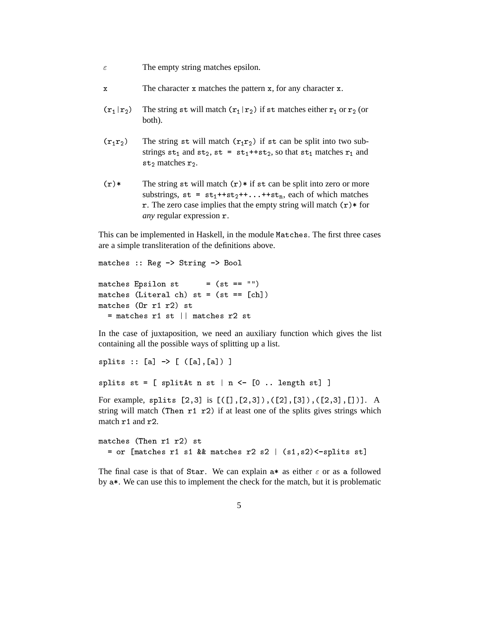- $\varepsilon$  The empty string matches epsilon.
- $x$  The character  $x$  matches the pattern  $x$ , for any character  $x$ .
- $(\mathbf{r}_1 | \mathbf{r}_2)$  The string st will match  $(\mathbf{r}_1 | \mathbf{r}_2)$  if st matches either  $\mathbf{r}_1$  or  $\mathbf{r}_2$  (or both).
- $(r_1r_2)$  The string st will match  $(r_1r_2)$  if st can be split into two substrings  $st_1$  and  $st_2$ ,  $st = st_1 + st_2$ , so that  $st_1$  matches  $r_1$  and  $st_2$  matches  $r_2$ .
- $(r)$  The string st will match  $(r)$  if st can be split into zero or more substrings,  $st = st_1 + ts_2 + t \dots + ts_n$ , each of which matches r. The zero case implies that the empty string will match  $(r)$  \* for *any* regular expression  $r$ .

This can be implemented in Haskell, in the module Matches. The first three cases are a simple transliteration of the definitions above.

```
matches :: Reg \rightarrow String \rightarrow Bool= (st == ^{\frac{1}{11}})
 -

     11
matches (Literal ch) st = (st == [ch])matches (0r r1 r2) st= matches r1 st || matches r2 st
```
In the case of juxtaposition, we need an auxiliary function which gives the list containing all the possible ways of splitting up a list.

```
-
  ,- *+ , ,-7,- -
```
- , -8 9\* ,:  - -

For example, splits [2,3] is [([],[2,3]),([2],[3]),([2,3],[])]. A string will match (Then  $r1$   $r2$ ) if at least one of the splits gives strings which match  $r1$  and  $r2$ .

```
 $ . / 
    , which is a set of the set of the set of the set of the set of the set of the set of the set of the set of the set of the set of the set of the set of the set of the set of the set of the set of the set of the set of the
```
The final case is that of Star. We can explain  $a*$  as either  $\varepsilon$  or as a followed by  $a^*$ . We can use this to implement the check for the match, but it is problematic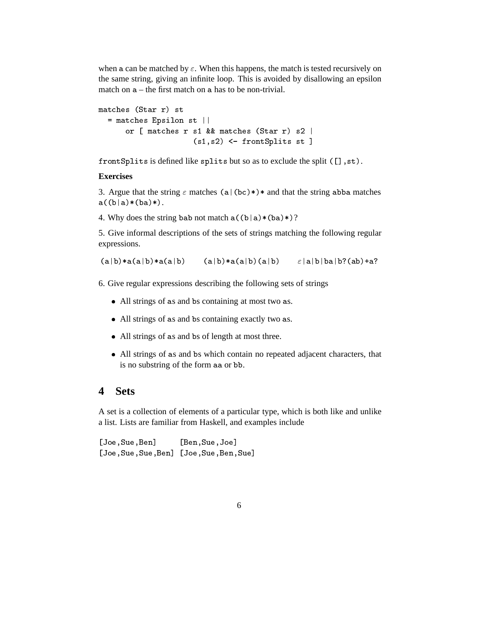when a can be matched by  $\varepsilon$ . When this happens, the match is tested recursively on the same string, giving an infinite loop. This is avoided by disallowing an epsilon match on  $a$  – the first match on  $a$  has to be non-trivial.

```
matches (Star r) st
 %  
   -

    or \lceil matches r s1 && matches (Star r) s2 \lceil.7/ 9* 
 %-
  -
```
frontSplits is defined like splits but so as to exclude the split ([],st).

#### **Exercises**

3. Argue that the string  $\varepsilon$  matches  $(a \mid (bc)*)*$  and that the string abba matches  $a((b|a)*(ba)*).$ 

4. Why does the string bab not match  $a((b|a)*(ba))$ ?

5. Give informal descriptions of the sets of strings matching the following regular expressions.

 $(a|b) * a(a|b) * a(a|b)$   $(a|b) * a(a|b) (a|b)$   $\varepsilon |a| b| ba| b? (ab) + a?$ 

6. Give regular expressions describing the following sets of strings

- All strings of as and bs containing at most two as.
- All strings of as and bs containing exactly two as.
- All strings of as and bs of length at most three.
- All strings of as and bs which contain no repeated adjacent characters, that is no substring of the form aa or bb.

#### **4 Sets**

A set is a collection of elements of a particular type, which is both like and unlike a list. Lists are familiar from Haskell, and examples include

 $[Joe, Sue, Ben]$   $[Ben, Sue, Joe]$ [Joe, Sue, Sue, Ben] [Joe, Sue, Ben, Sue]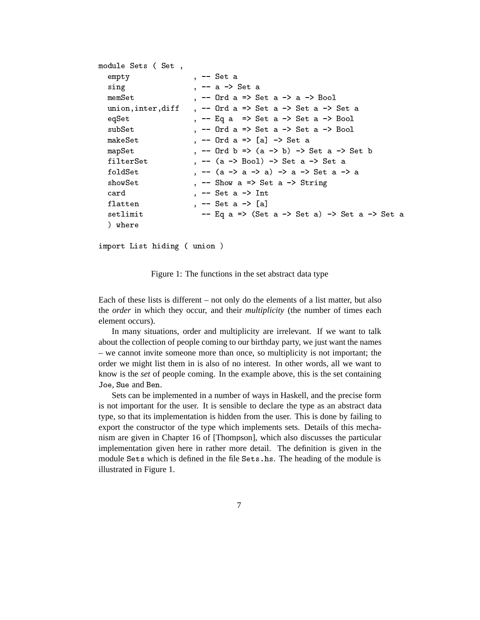```
module Sets (Set,
  empty
                    , - Set a
  sing , - a - Set a
  memSet \qquad, -- Ord a => Set a -> a -> Bool
  union, inter, diff , - 0rd a => Set a -> Set a -> Set a
  eqSet \longrightarrow, - Eq a \implies Set a \longrightarrow Set a \longrightarrow Bool
  subSet , -- Ord a => Set a -> Set a -> Bool
                    , -- Ord a => [a] -> Set a
  makeSet
                    , -- Ord b => (a -> b) -> Set a -> Set b
  mapSet
                    , - - (a -> Bool) -> Set a -> Set a
  filterSet
                    , -- (a \rightarrow a \rightarrow a) -> a -> Set a -> a
  foldSet
  showSet
                    , - Show a => Set a -> String
  card, -- Set a -> Int
   7 ** %  *+ ,-
  setlimit - Eq a => (Set a -> Set a) -> Set a -> Set a
  ) where
```
- ! 

Figure 1: The functions in the set abstract data type

Each of these lists is different – not only do the elements of a list matter, but also the *order* in which they occur, and their *multiplicity* (the number of times each element occurs).

In many situations, order and multiplicity are irrelevant. If we want to talk about the collection of people coming to our birthday party, we just want the names – we cannot invite someone more than once, so multiplicity is not important; the order we might list them in is also of no interest. In other words, all we want to know is the *set* of people coming. In the example above, this is the set containing Joe. Sue and Ben.

Sets can be implemented in a number of ways in Haskell, and the precise form is not important for the user. It is sensible to declare the type as an abstract data type, so that its implementation is hidden from the user. This is done by failing to export the constructor of the type which implements sets. Details of this mechanism are given in Chapter 16 of [Thompson], which also discusses the particular implementation given here in rather more detail. The definition is given in the module Sets which is defined in the file Sets. hs. The heading of the module is illustrated in Figure 1.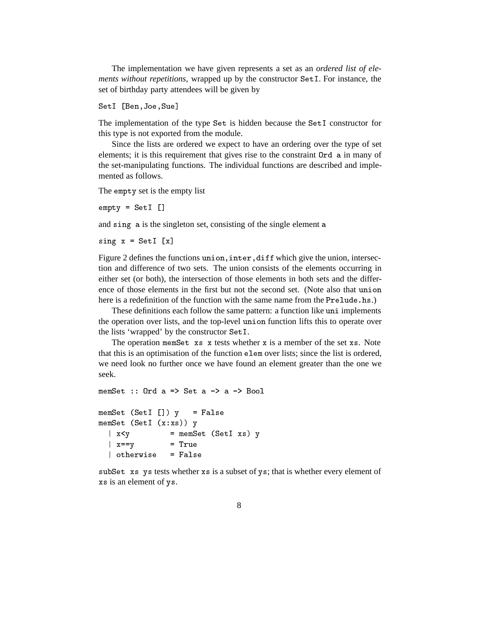The implementation we have given represents a set as an *ordered list of elements without repetitions*, wrapped up by the constructor Set1. For instance, the set of birthday party attendees will be given by

```
SetI [Ben, Joe, Sue]
```
The implementation of the type  $Set$  is hidden because the  $SetI$  constructor for this type is not exported from the module.

Since the lists are ordered we expect to have an ordering over the type of set elements; it is this requirement that gives rise to the constraint  $0$ rd a in many of the set-manipulating functions. The individual functions are described and implemented as follows.

The empty set is the empty list

-4 %> ,-

and sing a is the singleton set, consisting of the single element a

 $sing x = SetI [x]$ 

Figure 2 defines the functions union, inter, diff which give the union, intersection and difference of two sets. The union consists of the elements occurring in either set (or both), the intersection of those elements in both sets and the difference of those elements in the first but not the second set. (Note also that union here is a redefinition of the function with the same name from the Prelude. hs.)

These definitions each follow the same pattern: a function like uni implements the operation over lists, and the top-level union function lifts this to operate over the lists 'wrapped' by the constructor SetI.

The operation memset  $xs$  x tests whether x is a member of the set  $xs$ . Note that this is an optimisation of the function elembole lists; since the list is ordered, we need look no further once we have found an element greater than the one we seek.

```
memSet :: Ord a => Set a \rightarrow a \rightarrow Bool
memSet (SetI []) y = FalsememSet (SetI (x:xs)) y
  \vert x \prec y \vert = memSet (SetI xs) y
  \vert x == y \vert= True\vert otherwise = False
```
subSet xs ys tests whether xs is a subset of ys; that is whether every element of xs is an element of ys.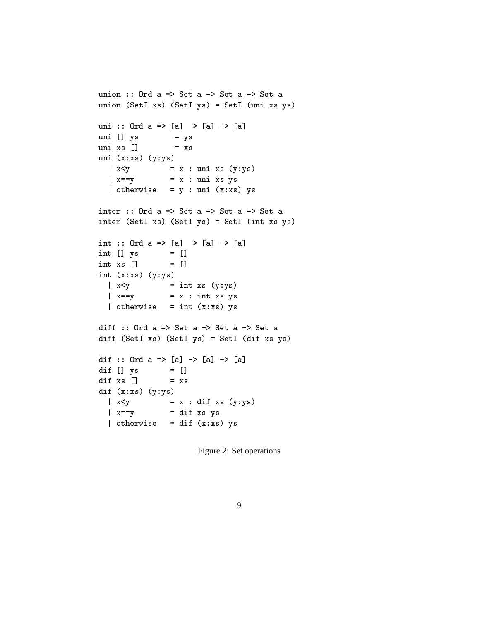```
union :: Ord a => Set a \rightarrow Set a \rightarrow Set a
union (SetI xs) (SetI ys) = SetI (uni xs ys)
uni :: Ord a => [a] -> [a] -> [a]
uni [] ys = ys
uni xs [] = xsuni(x:xs) (y:ys)|x \leq y = x : uni xs (y:ys)
  \vert x == y \vert = x : uni xs ys
  | otherwise = y : uni (x:xs) ysinter :: Ord a => Set a \rightarrow Set a \rightarrow Set a
inter (SetI xs) (SetI ys) = SetI (int xs ys)
int :: 0rd a => [a] \rightarrow [a] \rightarrow [a]int [ ys = []int xs \nightharpoondown= \Boxint (x:xs) (y:ys)\int x \langle y \rangle = \int \int x \langle y \rangle\vert x == y \vert = x : int xs ys
  \int otherwise = int (x:xs) ys
diff :: Ord a => Set a \rightarrow Set a \rightarrow Set a
diff (SetI xs) (SetI ys) = SetI (dif xs ys)
dif :: Ord a => [a] -> [a] -> [a]
dif [] ys = []dif xs []= x sdif (x:xs) (y:ys)|x < y = x : dif xs (y:ys)
  \vert x == y \vert = dif xs ys
  \int otherwise = dif (x:xs) ys
```
Figure 2: Set operations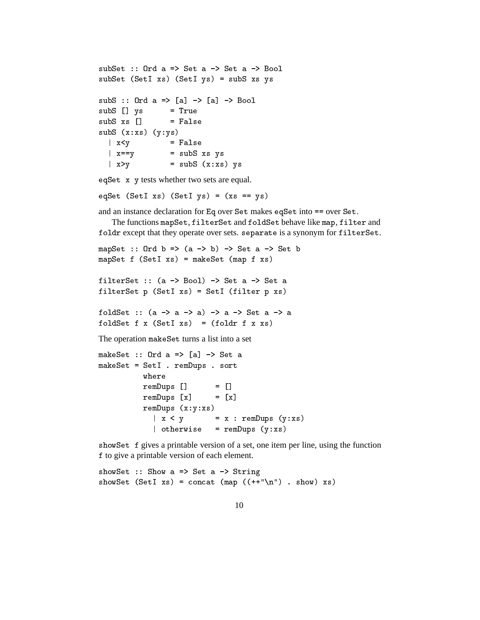```
subSet :: Ord a \Rightarrow Set a \rightarrow Set a \Rightarrow BoolsubSet (SetI xs) (SetI ys) = subS xs ys
subs :: Ord a => [a] \rightarrow [a] \rightarrow Bool
subS \Box vs= TruesubS xs [] = FalsesubS (x:xs) (y:ys)\vert x \leq y = False
  \vert x == y \vert = subS xs ys
  |x > y = subS (x : xs) ys
```
 $eqSet$  x y tests whether two sets are equal.

eqSet (SetI xs) (SetI ys) =  $(xs == ys)$ 

and an instance declaration for Eq over Set makes eqSet into == over Set.

The functions mapSet, filterSet and foldSet behave like map, filter and foldr except that they operate over sets. separate is a synonym for  $\mathtt{filterSet}.$ 

```
\blacksquare . The set of the set of the set of the set of the set of the set of the set of the set of the set of the set of the set of the set of the set of the set of the set of the set of the set of the set of the set of the
-
%  %>   
% -

filterSet :: (a \rightarrow Bool) \rightarrow Set a \rightarrow Set a\blacksquare . The set of the set of the set of the set of the set of the set of the set of the set of the set of the set of the set of the set of the set of the set of the set of the set of the set of the set of the set of the
foldSet :: (a \rightarrow a \rightarrow a) \rightarrow a \rightarrow Set a \rightarrow afoldSet f(x) (SetI xs) = (foldr f(x) xs)
The operation make Set turns a list into a set

%  #  + ,- *+ % 

%  %>  @	-

                 where
                                              = \Box@	-
 ,-  ,-
                  @	-
 ,-  ,-
```
. – 19 4 - 19 4 - 19 4 - 19 4 - 19 4 - 19 4 - 19 4 - 19 4 - 19 4 - 19 4 - 19 4 - 19 4 - 19 4 - 19 4 - 19 4 - 1  @ - 4

@ - 4

show Set f gives a printable version of a set, one item per line, using the function to give a printable version of each element.

showSet :: Show  $a \Rightarrow$  Set  $a \Rightarrow$  String % %> - 001A 1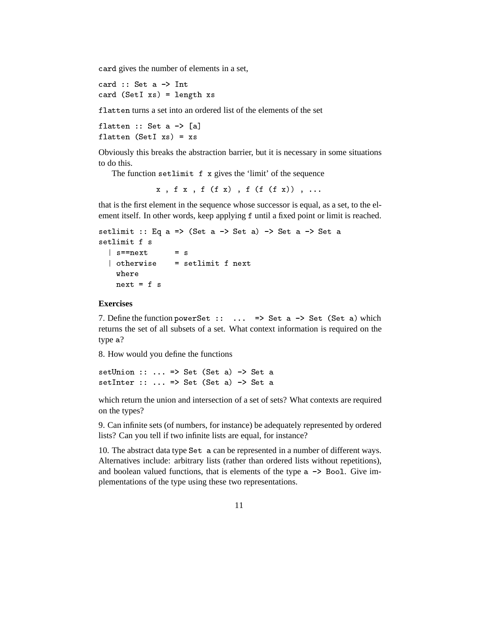card gives the number of elements in a set,

 $card (SetI xs) = length xs$ 

flatten turns a set into an ordered list of the elements of the set

flatten :: Set a -> [a]  % \*+ , flatten (SetI  $xs$ ) =  $xs$ 

Obviously this breaks the abstraction barrier, but it is necessary in some situations to do this.

The function setlimit  $f \times g$  ives the 'limit' of the sequence

 $x$ ,  $f(x)$ ,  $f(f(x))$ ,  $f(f(f(x))$ , ...

that is the first element in the sequence whose successor is equal, as a set, to the element itself. In other words, keep applying f until a fixed point or limit is reached.

```
setlimit :: Eq a => (Set a -> Set a) -> Set a -> Set a
setlimit f s
 l s==next
            = s
     
 | otherwise = setlimit f next
   next = f s
```
#### **Exercises**

7. Define the function power Set :: ...  $\Rightarrow$  Set a  $\rightarrow$  Set (Set a) which returns the set of all subsets of a set. What context information is required on the type a?

8. How would you define the functions

 $setUnion :: ... => Set (Set a) -> Set a$ >  + % % \*+ %

which return the union and intersection of a set of sets? What contexts are required on the types?

9. Can infinite sets (of numbers, for instance) be adequately represented by ordered lists? Can you tell if two infinite lists are equal, for instance?

10. The abstract data type Set a can be represented in a number of different ways. Alternatives include: arbitrary lists (rather than ordered lists without repetitions), and boolean valued functions, that is elements of the type  $a \rightarrow$  Bool. Give implementations of the type using these two representations.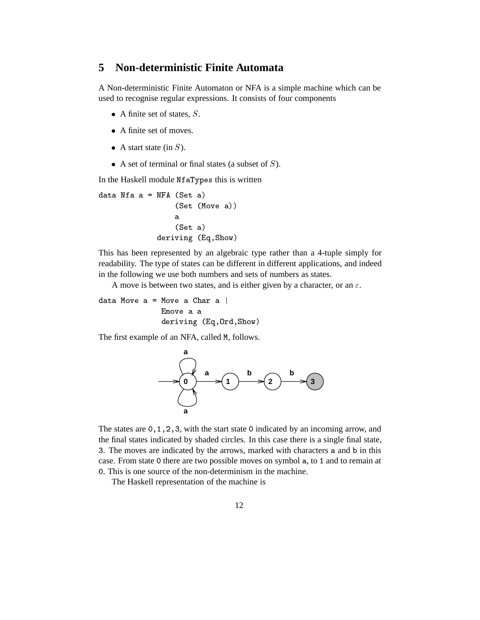#### **5 Non-deterministic Finite Automata**

A Non-deterministic Finite Automaton or NFA is a simple machine which can be used to recognise regular expressions. It consists of four components

- $\bullet$  A finite set of states, S.
- A finite set of moves.
- A start state (in  $S$ ).
- $\bullet$  A set of terminal or final states (a subset of S).

In the Haskell module NfaTypes this is written

```
data Nfa a = NFA (Set a)
                  (Set (Move a))
                  a.
                  (Set a)deriving (Eq, Show)
```
This has been represented by an algebraic type rather than a 4-tuple simply for readability. The type of states can be different in different applications, and indeed in the following we use both numbers and sets of numbers as states.

A move is between two states, and is either given by a character, or an  $\varepsilon$ .

```
data Move a = Move a Char a \midEmove a a
               deriving (Eq, Ord, Show)
```
The first example of an NFA, called M, follows.



The states are  $0, 1, 2, 3$ , with the start state 0 indicated by an incoming arrow, and the final states indicated by shaded circles. In this case there is a single final state, 3. The moves are indicated by the arrows, marked with characters a and b in this case. From state 0 there are two possible moves on symbol a, to 1 and to remain at 0. This is one source of the non-determinism in the machine.

The Haskell representation of the machine is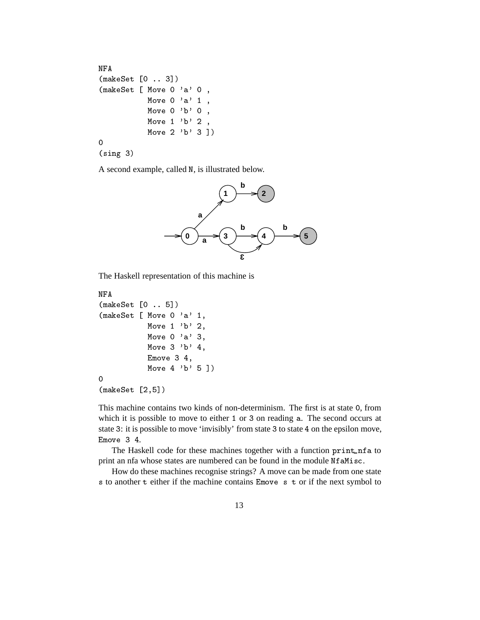```
NFA

% ,:  ;-

% , 5
& : (( : 7
        Move 0 'a' 1,
        Move 0 'b' 0,
        Move 1 'b' 2,
        Move 2 'b' 3 ])
:
(sing 3)
```
A second example, called N, is illustrated below.



The Haskell representation of this machine is

```

% ,:  D-
\sim 5 \sim 5 \sim 5 \sim 5 \sim 5 \sim 5 \sim 5 \sim 5 \sim 5 \sim 5 \sim 5 \sim 5 \sim 5 \sim 5 \sim 5 \sim 5 \sim 5 \sim 5 \sim 5 \sim 5 \sim 5 \sim 5 \sim 5 \sim 5 \sim 5 \sim 5 \sim 5 \sim 5 \sim 5 \sim 5 \sim 5 \simMove 1 'b' 2,
                          Move 0 'a' 3,
                          Move 3'b' 4,
                          Emove 3\,4,
                          Move 4 'b' 5 ])
0
```
 $\sim$  ,  $\sim$  ,  $\sim$  ,  $\sim$  ,  $\sim$  ,  $\sim$  ,  $\sim$  ,  $\sim$  ,  $\sim$  ,  $\sim$  ,  $\sim$  ,  $\sim$  ,  $\sim$  ,  $\sim$  ,  $\sim$  ,  $\sim$  ,  $\sim$  ,  $\sim$  ,  $\sim$  ,  $\sim$  ,  $\sim$  ,  $\sim$  ,  $\sim$  ,  $\sim$  ,  $\sim$  ,  $\sim$  ,  $\sim$  ,  $\sim$  ,  $\sim$  ,  $\sim$  ,  $\sim$  ,  $\sim$ 

This machine contains two kinds of non-determinism. The first is at state 0, from which it is possible to move to either  $1$  or  $3$  on reading  $a$ . The second occurs at state 3: it is possible to move 'invisibly' from state 3 to state 4 on the epsilon move, Emove  $3$  4.

The Haskell code for these machines together with a function print nf a to print an nfa whose states are numbered can be found in the module NfaMisc.

How do these machines recognise strings? A move can be made from one state s to another  $t$  either if the machine contains Emove  $s$   $t$  or if the next symbol to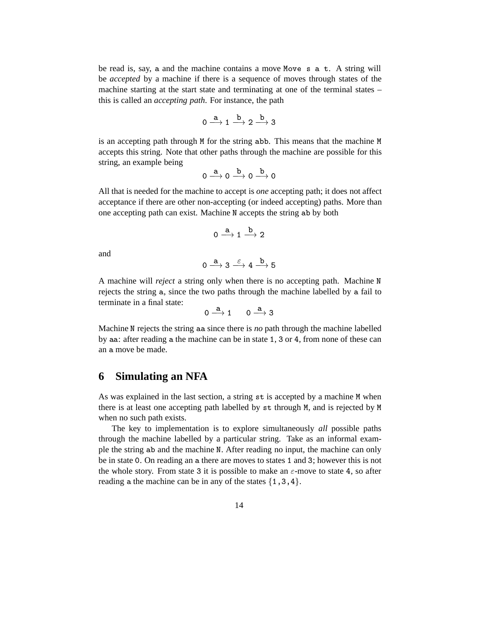be read is, say, a and the machine contains a move Move  $s$  a  $t$ . A string will be *accepted* by a machine if there is a sequence of moves through states of the machine starting at the start state and terminating at one of the terminal states – this is called an *accepting path*. For instance, the path

$$
0 \xrightarrow{\mathbf{a}} 1 \xrightarrow{\mathbf{b}} 2 \xrightarrow{\mathbf{b}} 3
$$

is an accepting path through M for the string abb. This means that the machine M accepts this string. Note that other paths through the machine are possible for this string, an example being

$$
0 \xrightarrow{a} 0 \xrightarrow{b} 0 \xrightarrow{b} 0
$$

All that is needed for the machine to accept is *one* accepting path; it does not affect acceptance if there are other non-accepting (or indeed accepting) paths. More than one accepting path can exist. Machine N accepts the string ab by both

$$
0 \stackrel{a}{\longrightarrow} 1 \stackrel{b}{\longrightarrow} 2
$$

and

$$
0 \xrightarrow{\ \ a \ \ } 3 \xrightarrow{\ \ \epsilon \ \ } 4 \xrightarrow{\ b \ \ } 5
$$

A machine will *reject* a string only when there is no accepting path. Machine N rejects the string a, since the two paths through the machine labelled by a fail to terminate in a final state:

$$
0\stackrel{\mathbf{a}}{\longrightarrow} 1 \qquad 0\stackrel{\mathbf{a}}{\longrightarrow} 3
$$

Machine N rejects the string aa since there is *no* path through the machine labelled by aa: after reading a the machine can be in state  $1, 3$  or  $4$ , from none of these can an a move be made.

#### **6 Simulating an NFA**

As was explained in the last section, a string  $st$  is accepted by a machine  $M$  when there is at least one accepting path labelled by st through M, and is rejected by M when no such path exists.

The key to implementation is to explore simultaneously *all* possible paths through the machine labelled by a particular string. Take as an informal example the string ab and the machine N. After reading no input, the machine can only be in state 0. On reading an a there are moves to states 1 and 3; however this is not the whole story. From state 3 it is possible to make an  $\varepsilon$ -move to state 4, so after reading a the machine can be in any of the states  $\{1,3,4\}.$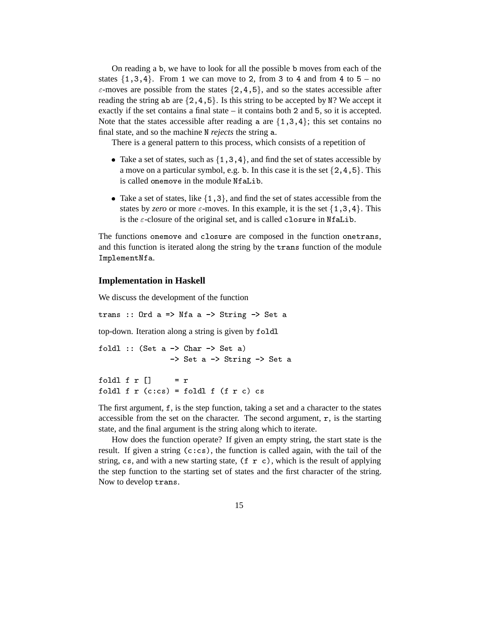On reading a b, we have to look for all the possible b moves from each of the states  $\{1,3,4\}$ . From 1 we can move to 2, from 3 to 4 and from 4 to 5 – no  $\varepsilon$ -moves are possible from the states  $\{2, 4, 5\}$ , and so the states accessible after reading the string ab are  $\{2, 4, 5\}$ . Is this string to be accepted by N? We accept it exactly if the set contains a final state  $-$  it contains both 2 and 5, so it is accepted. Note that the states accessible after reading a are  $\{1,3,4\}$ ; this set contains no final state, and so the machine N *rejects* the string a.

There is a general pattern to this process, which consists of a repetition of

- Take a set of states, such as  $\{1,3,4\}$ , and find the set of states accessible by a move on a particular symbol, e.g. b. In this case it is the set  $\{2, 4, 5\}$ . This is called onemove in the module NfaLib.
- Take a set of states, like  $\{1,3\}$ , and find the set of states accessible from the states by *zero* or more  $\varepsilon$ -moves. In this example, it is the set  $\{1,3,4\}$ . This is the  $\varepsilon$ -closure of the original set, and is called closure in NfaLib.

The functions onemove and closure are composed in the function onetrans, and this function is iterated along the string by the trans function of the module ImplementNfa.

#### **Implementation in Haskell**

We discuss the development of the function

trans :: Ord  $a \Rightarrow$  Nfa  $a \Rightarrow$  String  $\Rightarrow$  Set a

top-down. Iteration along a string is given by

```
foldl :: (Set a \rightarrow Char \rightarrow Set a)
                   \rightarrow Set a \rightarrow String \rightarrow Set a
foldl f r \Box= r
   ,-  
foldl f r (c:cs) = foldl f (f r c) cs
```
The first argument,  $f$ , is the step function, taking a set and a character to the states accessible from the set on the character. The second argument,  $\bf{r}$ , is the starting state, and the final argument is the string along which to iterate.

How does the function operate? If given an empty string, the start state is the result. If given a string  $(c:cs)$ , the function is called again, with the tail of the string, cs, and with a new starting state,  $(f \ r \ c)$ , which is the result of applying the step function to the starting set of states and the first character of the string. Now to develop trans.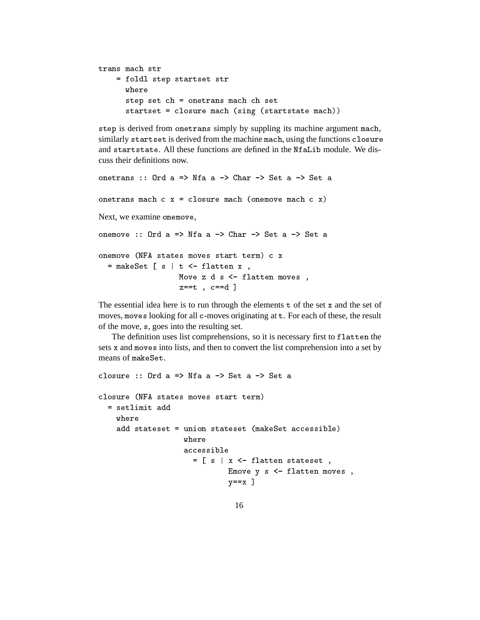```
trans mach str

 -
  
    where
    -
    
     
    startset = closure mach (sing (startstate mach))
```
step is derived from onetrans simply by suppling its machine argument mach, similarly startset is derived from the machine mach, using the functions closure and startstate. All these functions are defined in the NfaLib module. We discuss their definitions now.

```
onetrans :: Ord a => Nfa a -> Char -> Set a -> Set a
onetrans mach c \times = closure mach (onemove mach c \times x)
Next, we examine onemove,
onemove :: Ord a => Nfa a -> Char -> Set a -> Set a

 
& C8  
&    
   \blacksquare , and the set of the set of the set of the set of the set of the set of the set of the set of the set of the set of the set of the set of the set of the set of the set of the set of the set of the set of the set of
                            Move z d s \leftarrow flatten moves,
                            z==t, c==d]
```
The essential idea here is to run through the elements  $t$  of the set  $x$  and the set of moves, moves looking for all c-moves originating at t. For each of these, the result of the move, s, goes into the resulting set.

The definition uses list comprehensions, so it is necessary first to flatten the sets  $x$  and moves into lists, and then to convert the list comprehension into a set by means of make Set.

```
closure :: Ord a => Nfa a \rightarrow Set a \rightarrow Set a
closure (NFA states moves start term)
 = setlimit add
      	 
  
% 
                   = [ s | x \le flatten stateset,
                           Emove y s \leq flatten moves,
                           y == x ]
```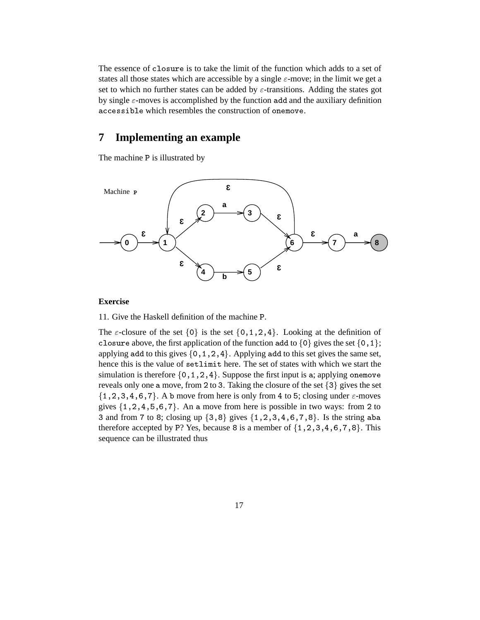The essence of closure is to take the limit of the function which adds to a set of states all those states which are accessible by a single  $\varepsilon$ -move; in the limit we get a set to which no further states can be added by  $\varepsilon$ -transitions. Adding the states got by single  $\varepsilon$ -moves is accomplished by the function add and the auxiliary definition accessible which resembles the construction of onemove.

### **7 Implementing an example**

The machine P is illustrated by



#### **Exercise**

11. Give the Haskell definition of the machine ?.

The  $\varepsilon$ -closure of the set  $\{0\}$  is the set  $\{0,1,2,4\}$ . Looking at the definition of closure above, the first application of the function add to  $\{0\}$  gives the set  $\{0,1\}$ ; applying add to this gives  $\{0, 1, 2, 4\}$ . Applying add to this set gives the same set, hence this is the value of setlimit here. The set of states with which we start the simulation is therefore  $\{0, 1, 2, 4\}$ . Suppose the first input is a; applying one move reveals only one a move, from 2 to 3. Taking the closure of the set  $\{3\}$  gives the set  $\{1, 2, 3, 4, 6, 7\}$ . A b move from here is only from 4 to 5; closing under  $\varepsilon$ -moves gives  $\{1, 2, 4, 5, 6, 7\}$ . An a move from here is possible in two ways: from 2 to 3 and from 7 to 8; closing up  $\{3, 8\}$  gives  $\{1, 2, 3, 4, 6, 7, 8\}$ . Is the string aba therefore accepted by P? Yes, because 8 is a member of  $\{1, 2, 3, 4, 6, 7, 8\}$ . This sequence can be illustrated thus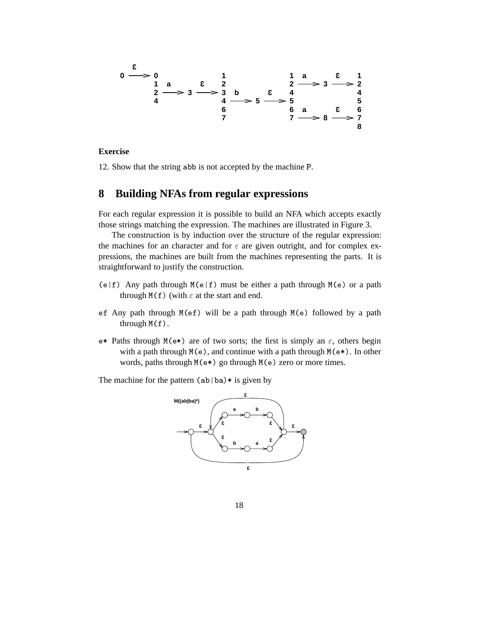

#### **Exercise**

12. Show that the string abb is not accepted by the machine P.

### **8 Building NFAs from regular expressions**

For each regular expression it is possible to build an NFA which accepts exactly those strings matching the expression. The machines are illustrated in Figure 3.

The construction is by induction over the structure of the regular expression: the machines for an character and for  $\varepsilon$  are given outright, and for complex expressions, the machines are built from the machines representing the parts. It is straightforward to justify the construction.

- $(e | f)$  Any path through  $M(e | f)$  must be either a path through  $M(e)$  or a path through  $M(f)$  (with  $\varepsilon$  at the start and end.
- ef Any path through  $M(ef)$  will be a path through  $M(e)$  followed by a path through  $M(f)$ .
- $e^*$  Paths through  $M(e^*)$  are of two sorts; the first is simply an  $\varepsilon$ , others begin with a path through  $M(e)$ , and continue with a path through  $M(e*)$ . In other words, paths through  $M(e*)$  go through  $M(e)$  zero or more times.

The machine for the pattern  $(ab|ba)$  is given by

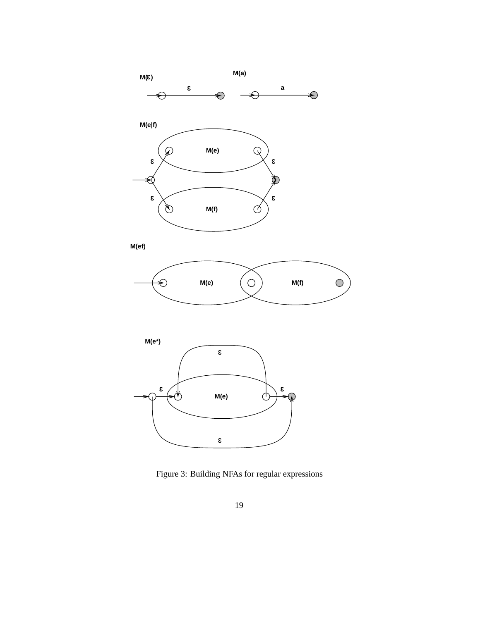





Figure 3: Building NFAs for regular expressions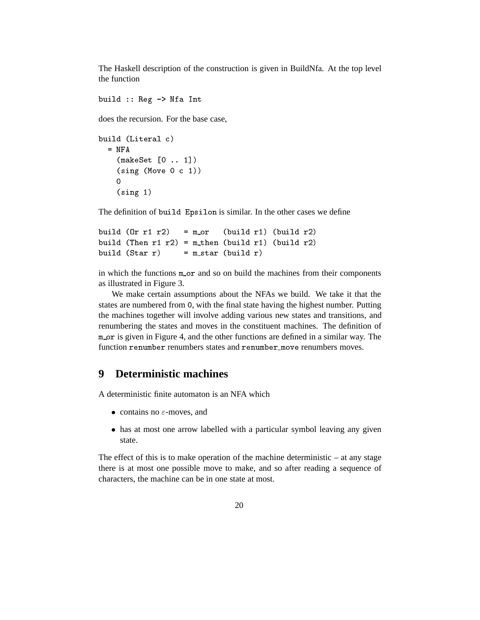The Haskell description of the construction is given in BuildNfa. At the top level the function

build  $::$  Reg  $\rightarrow$  Nfa Int

does the recursion. For the base case,

```
build (Literal c)
 = NFA

% ,:  .-
   (sing (Move 0 c 1))(sing 1)
```
The definition of build Epsilon is similar. In the other cases we define

```
build (0r r1 r2) = m_or (build r1) (build r2)
build (Then r1 r2) = m_then (build r1) (build r2)
build (\text{Star } r) = m_star (\text{build } r)
```
in which the functions  $m_0$  and so on build the machines from their components as illustrated in Figure 3.

We make certain assumptions about the NFAs we build. We take it that the states are numbered from 0, with the final state having the highest number. Putting the machines together will involve adding various new states and transitions, and renumbering the states and moves in the constituent machines. The definition of  $m_{\text{or}}$  is given in Figure 4, and the other functions are defined in a similar way. The function renumber renumbers states and renumber move renumbers moves.

### **9 Deterministic machines**

A deterministic finite automaton is an NFA which

- contains no  $\varepsilon$ -moves, and
- has at most one arrow labelled with a particular symbol leaving any given state.

The effect of this is to make operation of the machine deterministic – at any stage there is at most one possible move to make, and so after reading a sequence of characters, the machine can be in one state at most.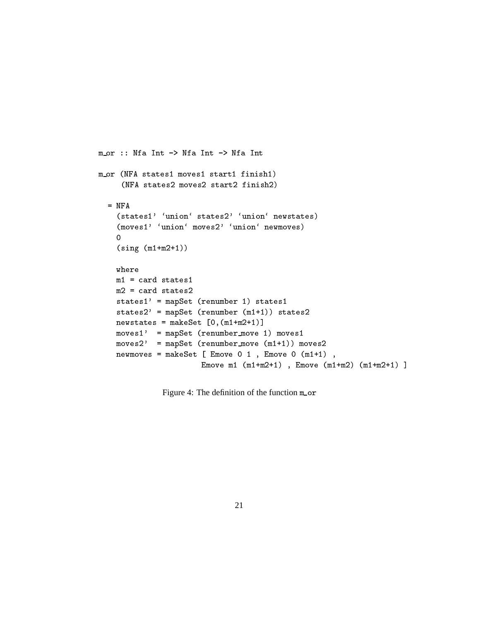```
m_0r :: Nfa Int \rightarrow Nfa Int \rightarrow Nfa Int
m_or (NFA states1 moves1 start1 finish1)
     (NFA states2 moves2 start2 finish2)
  = NFA
    (states1' 'union' states2' 'union' newstates)
    (moves1' 'union' moves2' 'union' newmoves)
    \circ(sing (m1+m2+1))where
    m1 = card states1m2 = card states2states1' = mapSet (renumber 1) states1
    states2' = mapSet (renumber (m1+1)) states2
    newstates = makeSet [0, (m1+m2+1)]moves 1' = mapSet (renumber_move 1) moves1
    moves2' = mapSet (renumber_move (m1+1)) moves2
    newmoves = makeSet [ Emove 0 1 , Emove 0 (m1+1) ,
                       Emove m1 (m1+m2+1), Emove (m1+m2) (m1+m2+1)]
```
Figure 4: The definition of the function mor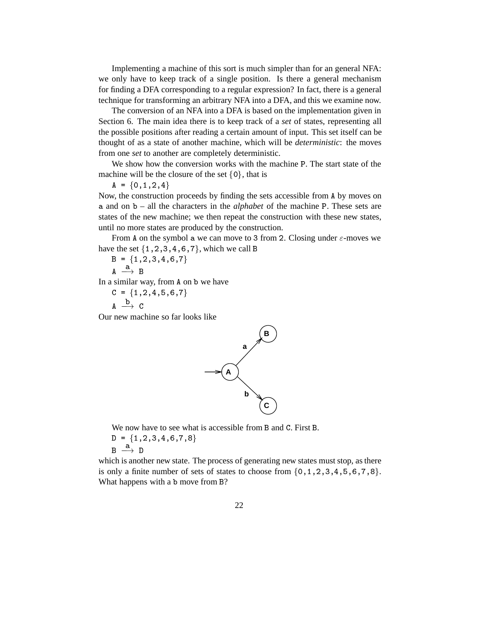Implementing a machine of this sort is much simpler than for an general NFA: we only have to keep track of a single position. Is there a general mechanism for finding a DFA corresponding to a regular expression? In fact, there is a general technique for transforming an arbitrary NFA into a DFA, and this we examine now.

The conversion of an NFA into a DFA is based on the implementation given in Section 6. The main idea there is to keep track of a *set* of states, representing all the possible positions after reading a certain amount of input. This set itself can be thought of as a state of another machine, which will be *deterministic*: the moves from one *set* to another are completely deterministic.

We show how the conversion works with the machine P. The start state of the machine will be the closure of the set  $\{0\}$ , that is

 $A = \{0, 1, 2, 4\}$ 

Now, the construction proceeds by finding the sets accessible from 8 by moves on and on – all the characters in the *alphabet* of the machine ?. These sets are states of the new machine; we then repeat the construction with these new states, until no more states are produced by the construction.

From A on the symbol a we can move to 3 from 2. Closing under  $\varepsilon$ -moves we have the set  $\{1, 2, 3, 4, 6, 7\}$ , which we call B

$$
B = \{1, 2, 3, 4, 6, 7\}
$$

 $A \longrightarrow B$ 

In a similar way, from A on b we have

$$
C = \{1, 2, 4, 5, 6, 7\}
$$
  
A  $\xrightarrow{b}$  C

Our new machine so far looks like



We now have to see what is accessible from B and C. First B.

 $D = \{1, 2, 3, 4, 6, 7, 8\}$  $B \stackrel{a}{\longrightarrow} D$ 

which is another new state. The process of generating new states must stop, as there is only a finite number of sets of states to choose from  $\{0, 1, 2, 3, 4, 5, 6, 7, 8\}$ . What happens with a b move from B?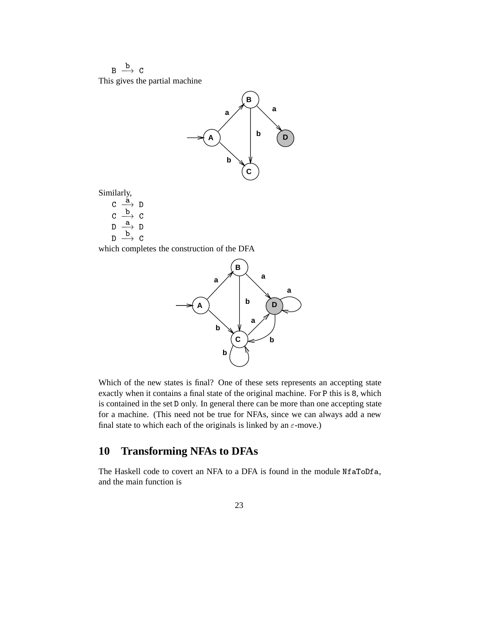$B \stackrel{b}{\longrightarrow} C$ This gives the partial machine



Similarly,

 $C \stackrel{\tilde{a}}{\longrightarrow} D$  $C \longrightarrow C$  $D \xrightarrow{a} D$  $\Box \longrightarrow C$ 

which completes the construction of the DFA



Which of the new states is final? One of these sets represents an accepting state exactly when it contains a final state of the original machine. For P this is 8, which is contained in the set D only. In general there can be more than one accepting state for a machine. (This need not be true for NFAs, since we can always add a new final state to which each of the originals is linked by an  $\varepsilon$ -move.)

# **10 Transforming NFAs to DFAs**

The Haskell code to covert an NFA to a DFA is found in the module NfaToDfa, and the main function is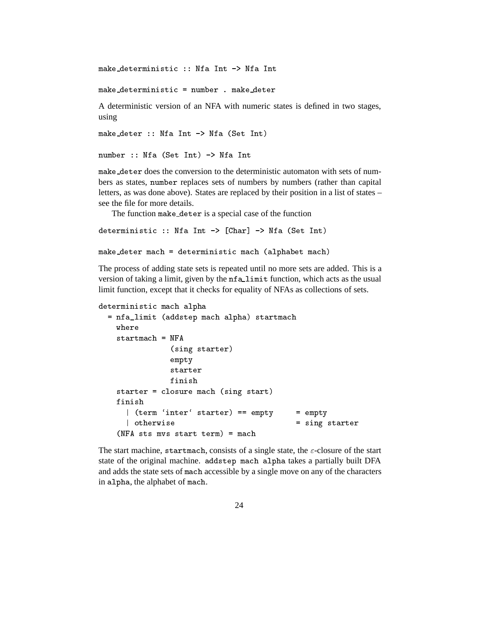C > \*+ C >

 

A deterministic version of an NFA with numeric states is defined in two stages, using

 $\mathcal{L} = \mathcal{L} = \mathcal{L} = \mathcal{L} = \mathcal{L} = \mathcal{L} = \mathcal{L} = \mathcal{L} = \mathcal{L} = \mathcal{L} = \mathcal{L} = \mathcal{L} = \mathcal{L} = \mathcal{L} = \mathcal{L} = \mathcal{L} = \mathcal{L} = \mathcal{L} = \mathcal{L} = \mathcal{L} = \mathcal{L} = \mathcal{L} = \mathcal{L} = \mathcal{L} = \mathcal{L} = \mathcal{L} = \mathcal{L} = \mathcal{L} = \mathcal{L} = \mathcal{L} = \mathcal{L} = \mathcal$ 

```
number :: Nfa (Set Int) \rightarrow Nfa Int
```
make\_deter does the conversion to the deterministic automaton with sets of numbers as states, number replaces sets of numbers by numbers (rather than capital letters, as was done above). States are replaced by their position in a list of states – see the file for more details.

The function make\_deter is a special case of the function

```
deterministic :: Nfa Int \rightarrow [Char] \rightarrow Nfa (Set Int)
```

```
experimental contracts and the contracts of the contracts of the contracts of the contracts of the contracts of
```
The process of adding state sets is repeated until no more sets are added. This is a version of taking a limit, given by the nfalimit function, which acts as the usual limit function, except that it checks for equality of NFAs as collections of sets.

```
   -

  J -
  -

  where
  startmach = NFA(sing starter)
         -
4
         finish
  starter = closure mach (sing start)
   | (term 'inter' starter) == empty
                      4  -
4

    
  (NFA sts mvs start term) = mach
```
The start machine, startmach, consists of a single state, the  $\varepsilon$ -closure of the start state of the original machine. addstep mach alpha takes a partially built DFA and adds the state sets of mach accessible by a single move on any of the characters in alpha, the alphabet of mach.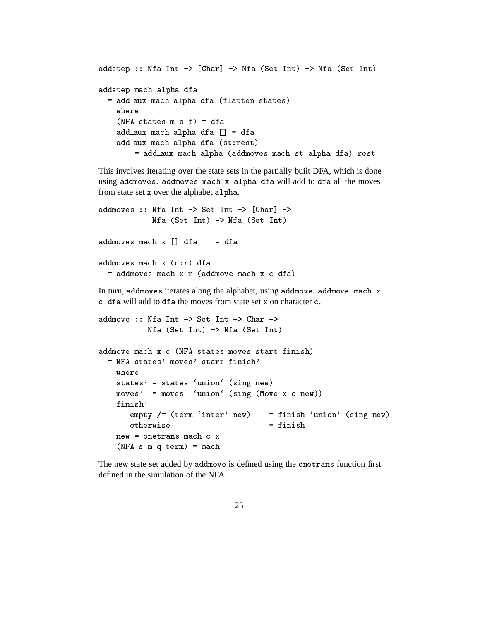```
. The contract of the contract of the contract of the contract of the contract of the contract of the contract of the contract of the contract of the contract of the contract of the contract of the contract of the contrac
-
  -

     	  -
   
       where
       (NFA states m s f) = dfa 	  -
  ,-  
       experience and the contract of the contract of the contract of the contract of the contract of the contract of
               \blacksquare . The set of the set of the set of the set of the set of the set of the set of the set of the set of the set of the set of the set of the set of the set of the set of the set of the set of the set of the set of the
```
This involves iterating over the state sets in the partially built DFA, which is done using addmoves. addmoves mach x alpha dfa will add to dfa all the moves from state set x over the alphabet alpha.

```
addmoves :: Nfa Int \rightarrow Set Int \rightarrow [Char] \rightarrowNfa (Set Int) \rightarrow Nfa (Set Int)
addmoves mach x [] dfa
                                               = dfaaddmoves mach x (c:r) dfa
and the contract of the contract of the contract of the contract of the contract of the contract of the contract of the contract of the contract of the contract of the contract of the contract of the contract of the contra
   = addmoves mach x r (addmove mach x c dfa)
In turn, add moves iterates along the alphabet, using add move. add move mach x
c df a will add to df a the moves from state set x on character c.
```

```
addmove :: Mfa Int \rightarrow Set Int \rightarrow Char \rightarrowNfa (Set Int) \rightarrow Nfa (Set Int)
addmove mach x c (NFA states moves start finish)
  = NFA states' moves' start finish'
      where
      states' = states 'union' (sing new)
      moves' = moves 'union' (sing (Move x c new))finish'
        \mathcal{A} = \{ \mathcal{A} \mid \mathcal{A} \in \mathcal{A} \} , and a set \mathcal{A} = \{ \mathcal{A} \mid \mathcal{A} \in \mathcal{A} \} . The set of \mathcal{A} = \{ \mathcal{A} \mid \mathcal{A} \in \mathcal{A} \} , and a set of \mathcal{A} = \{ \mathcal{A} \mid \mathcal{A} \in \mathcal{A} \} . In the set of \mathcal{A} = \{ \mathcal{A} \mid \mathcal| otherwise
                                                              = finish

   
      new = onetrans mach c x(NFA \ s \ m \ q \ term) = mach
```
The new state set added by addmove is defined using the one trans function first defined in the simulation of the NFA.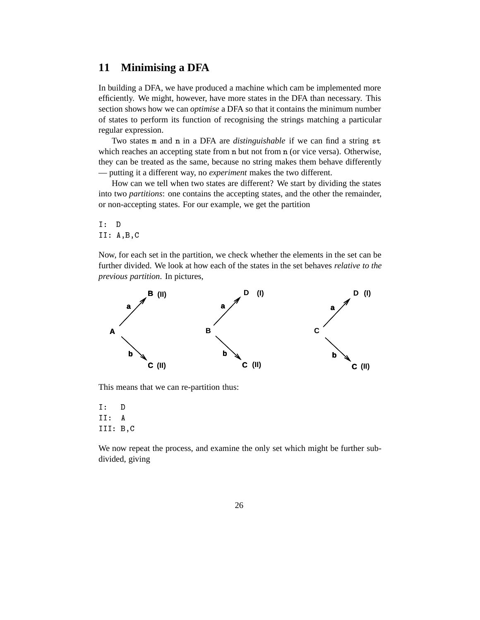### **11 Minimising a DFA**

In building a DFA, we have produced a machine which cam be implemented more efficiently. We might, however, have more states in the DFA than necessary. This section shows how we can *optimise* a DFA so that it contains the minimum number of states to perform its function of recognising the strings matching a particular regular expression.

Two states m and n in a DFA are *distinguishable* if we can find a string st which reaches an accepting state from  $n$  but not from  $n$  (or vice versa). Otherwise, they can be treated as the same, because no string makes them behave differently — putting it a different way, no *experiment* makes the two different.

How can we tell when two states are different? We start by dividing the states into two *partitions*: one contains the accepting states, and the other the remainder, or non-accepting states. For our example, we get the partition

 $I: D$  $II: A, B, C$ 

Now, for each set in the partition, we check whether the elements in the set can be further divided. We look at how each of the states in the set behaves *relative to the previous partition*. In pictures,



This means that we can re-partition thus:

 $I:$ D  $II:$ III: B.C

We now repeat the process, and examine the only set which might be further subdivided, giving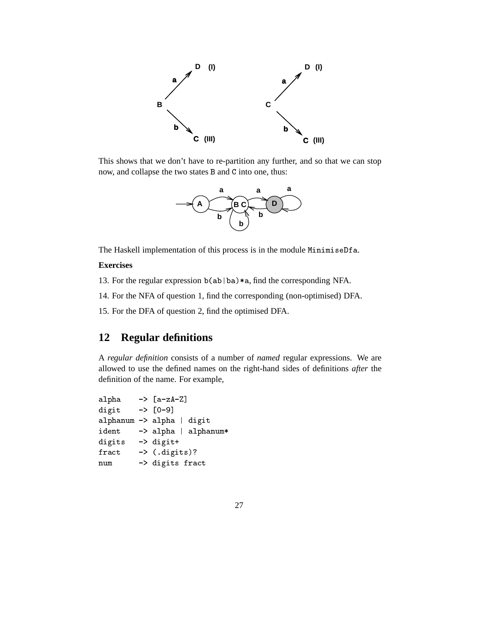

This shows that we don't have to re-partition any further, and so that we can stop now, and collapse the two states B and C into one, thus:



The Haskell implementation of this process is in the module MinimiseDfa.

#### **Exercises**

13. For the regular expression  $b(ab|ba)*a$ , find the corresponding NFA.

14. For the NFA of question 1, find the corresponding (non-optimised) DFA.

15. For the DFA of question 2, find the optimised DFA.

## **12 Regular definitions**

A *regular definition* consists of a number of *named* regular expressions. We are allowed to use the defined names on the right-hand sides of definitions *after* the definition of the name. For example,

```
alpha
                   \rightarrow [a-zA-Z]
digit \rightarrow [0-9]\blacksquare . The set of the set of the set of the set of the set of the set of the set of the set of the set of the set of the set of the set of the set of the set of the set of the set of the set of the set of the set of the
  *+ -
  -

digits -> digit+
fract \longrightarrow ( . digits)?num -> digits fract
```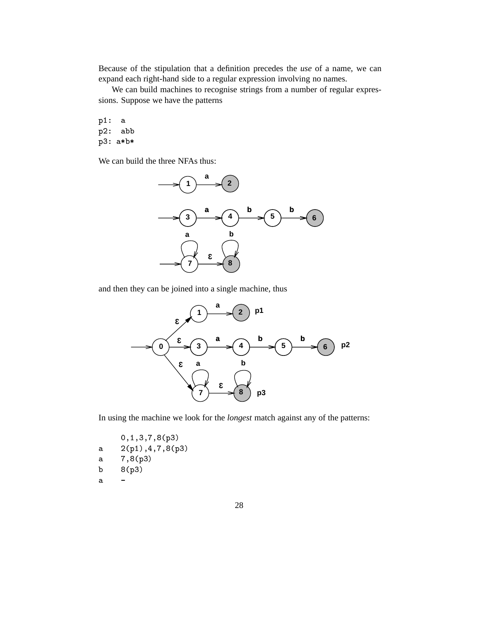Because of the stipulation that a definition precedes the *use* of a name, we can expand each right-hand side to a regular expression involving no names.

We can build machines to recognise strings from a number of regular expressions. Suppose we have the patterns

-.  $p2:$ abb  $\blacksquare$ ; and  $\blacksquare$  is the contract of the contract of the contract of the contract of the contract of the contract of the contract of the contract of the contract of the contract of the contract of the contract of the con

We can build the three NFAs thus:



and then they can be joined into a single machine, thus



In using the machine we look for the *longest* match against any of the patterns:

:7.7;7H7I-; /-.7E7H7I-; et a service of the service of the service of the service of the service of the service of the service of the  $\mathbf{I}$  is the set of  $\mathbf{I}$  is the set of  $\mathbf{I}$  $\overline{a}$